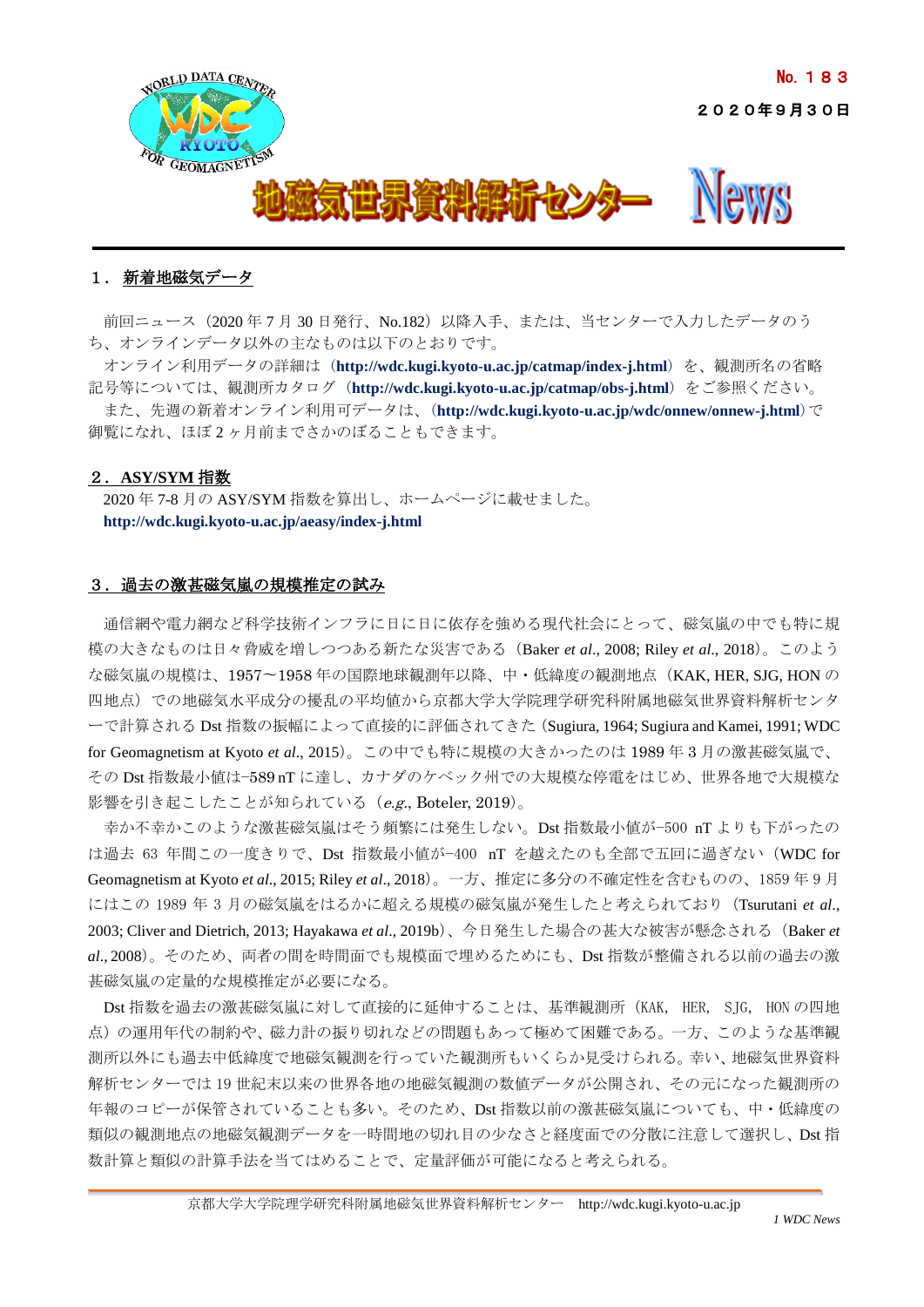

# 1. 新着地磁気データ

前回ニュース (2020年7月 30日発行、No.182)以降入手、または、当センターで入力したデータのう ち、オンラインデータ以外の主なものは以下のとおりです。

オンライン利用データの詳細は (**<http://wdc.kugi.kyoto-u.ac.jp/catmap/index-j.html>**) を、観測所名の省略 記号等については、観測所カタログ (**<http://wdc.kugi.kyoto-u.ac.jp/catmap/obs-j.html>**) をご参照ください。 また、先週の新着オンライン利用可データは、(**<http://wdc.kugi.kyoto-u.ac.jp/wdc/onnew/onnew-j.html>**)で 御覧になれ、ほぼ 2 ヶ月前までさかのぼることもできます。

## 2.**ASY/SYM** 指数

2020 年 7-8 月の ASY/SYM 指数を算出し、ホームページに載せました。 **<http://wdc.kugi.kyoto-u.ac.jp/aeasy/index-j.html>**

## 3. 過去の激甚磁気嵐の規模推定の試み

通信網や電力網など科学技術インフラに日に日に依存を強める現代社会にとって、磁気嵐の中でも特に規 模の大きなものは日々脅威を増しつつある新たな災害である(Baker *et al*., 2008; Riley *et al*., 2018)。このよう な磁気嵐の規模は、1957〜1958 年の国際地球観測年以降、中・低緯度の観測地点(KAK, HER, SJG, HON の 四地点)での地磁気水平成分の擾乱の平均値から京都大学大学院理学研究科附属地磁気世界資料解析センタ ーで計算される Dst 指数の振幅によって直接的に評価されてきた(Sugiura, 1964; Sugiura and Kamei, 1991; WDC for Geomagnetism at Kyoto *et al*., 2015)。この中でも特に規模の大きかったのは 1989 年 3 月の激甚磁気嵐で、 その Dst 指数最小値は−589 nT に達し、カナダのケベック州での大規模な停電をはじめ、世界各地で大規模な 影響を引き起こしたことが知られている  $(e.g.,$  Boteler, 2019)。

幸か不幸かこのような激甚磁気嵐はそう頻繁には発生しない。Dst 指数最小値が−500 nT よりも下がったの は過去 63 年間この一度きりで、Dst 指数最小値が−400 nT を越えたのも全部で五回に過ぎない(WDC for Geomagnetism at Kyoto *et al*., 2015; Riley *et al*., 2018)。一方、推定に多分の不確定性を含むものの、1859 年 9 月 にはこの 1989 年 3 月の磁気嵐をはるかに超える規模の磁気嵐が発生したと考えられており(Tsurutani *et al*., 2003; Cliver and Dietrich, 2013; Hayakawa *et al*., 2019b)、今日発生した場合の甚大な被害が懸念される(Baker *et al*., 2008)。そのため、両者の間を時間面でも規模面で埋めるためにも、Dst 指数が整備される以前の過去の激 甚磁気嵐の定量的な規模推定が必要になる。

Dst 指数を過去の激甚磁気嵐に対して直接的に延伸することは、基準観測所(KAK, HER, SJG, HON の四地 点)の運用年代の制約や、磁力計の振り切れなどの問題もあって極めて困難である。一方、このような基準観 測所以外にも過去中低緯度で地磁気観測を行っていた観測所もいくらか見受けられる。幸い、地磁気世界資料 解析センターでは 19 世紀末以来の世界各地の地磁気観測の数値データが公開され、その元になった観測所の 年報のコピーが保管されていることも多い。そのため、Dst 指数以前の激甚磁気嵐についても、中・低緯度の 類似の観測地点の地磁気観測データを一時間地の切れ目の少なさと経度面での分散に注意して選択し、Dst 指 数計算と類似の計算手法を当てはめることで、定量評価が可能になると考えられる。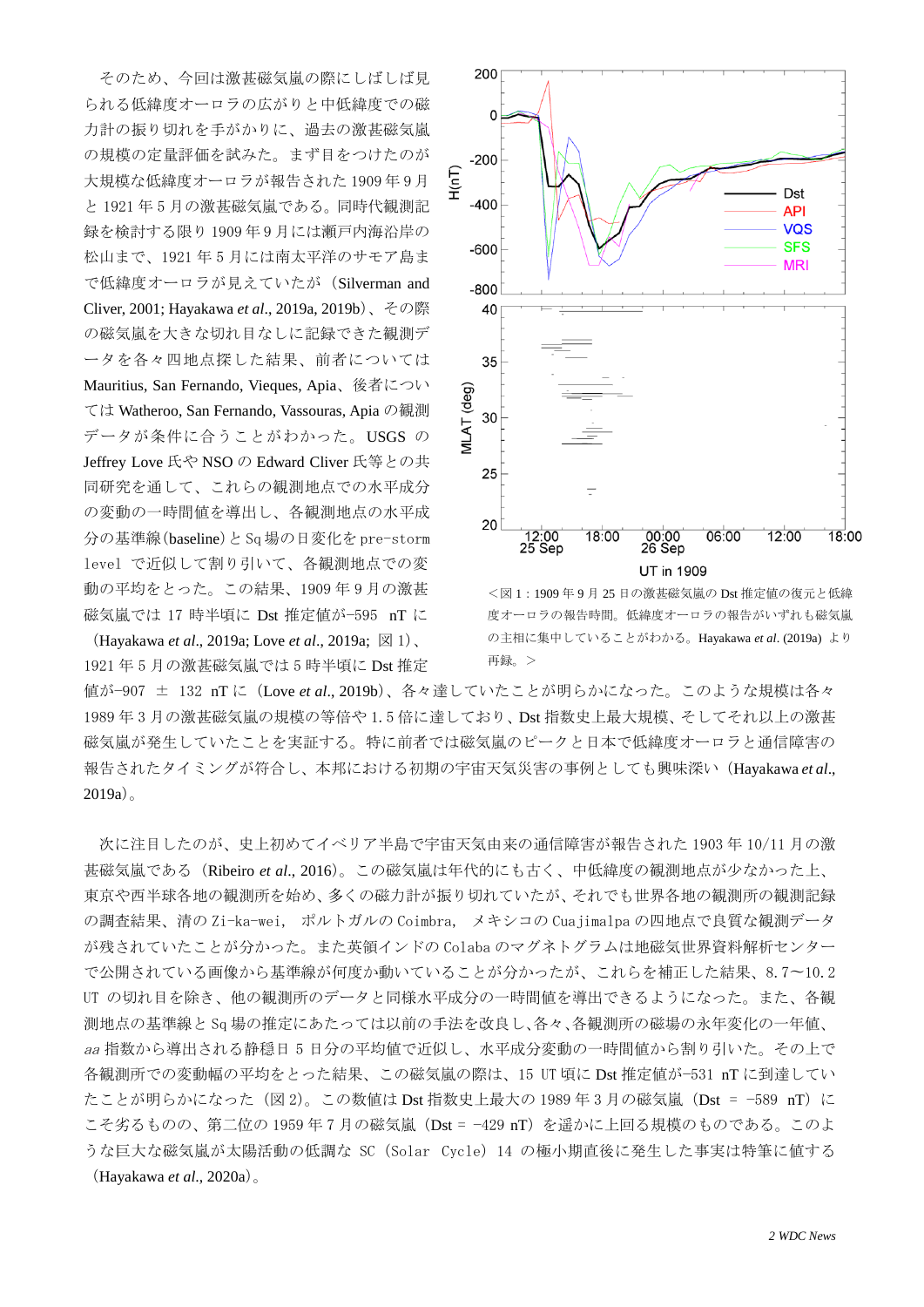そのため、今回は激甚磁気嵐の際にしばしば見 られる低緯度オーロラの広がりと中低緯度での磁 力計の振り切れを手がかりに、過去の激甚磁気嵐 の規模の定量評価を試みた。まず目をつけたのが 大規模な低緯度オーロラが報告された 1909 年 9 月 と 1921 年 5 月の激甚磁気嵐である。同時代観測記 録を検討する限り 1909 年 9 月には瀬戸内海沿岸の 松山まで、1921 年 5 月には南太平洋のサモア島ま で低緯度オーロラが見えていたが(Silverman and Cliver, 2001; Hayakawa *et al*., 2019a, 2019b)、その際 の磁気嵐を大きな切れ目なしに記録できた観測デ ータを各々四地点探した結果、前者については Mauritius, San Fernando, Vieques, Apia、後者につい ては Watheroo, San Fernando, Vassouras, Apia の観測 データが条件に合うことがわかった。USGS の Jeffrey Love 氏や NSO の Edward Cliver 氏等との共 同研究を通して、これらの観測地点での水平成分 の変動の一時間値を導出し、各観測地点の水平成 分の基準線(baseline)と Sq 場の日変化を pre-storm level で近似して割り引いて、各観測地点での変 動の平均をとった。この結果、1909 年 9 月の激甚 磁気嵐では 17 時半頃に Dst 推定値が−595 nT に

(Hayakawa *et al*., 2019a; Love *et al*., 2019a; 図 1)、 1921 年 5 月の激甚磁気嵐では 5 時半頃に Dst 推定



<図 1:1909 年 9 月 25 日の激甚磁気嵐の Dst 推定値の復元と低緯 度オーロラの報告が、報告がいずれも磁気嵐 の主相に集中していることがわかる。Hayakawa *et al*. (2019a) より 再録。>

値が−907 ± 132 nT に(Love *et al*., 2019b)、各々達していたことが明らかになった。このような規模は各々 1989 年 3 月の激甚磁気嵐の規模の等倍や 1.5 倍に達しており、Dst 指数史上最大規模、そしてそれ以上の激甚 磁気嵐が発生していたことを実証する。特に前者では磁気嵐のピークと日本で低緯度オーロラと通信障害の 報告されたタイミングが符合し、本邦における初期の宇宙天気災害の事例としても興味深い(Hayakawa *et al*., 2019a)。

次に注目したのが、史上初めてイベリア半島で宇宙天気由来の通信障害が報告された 1903 年 10/11 月の激 甚磁気嵐である(Ribeiro *et al*., 2016)。この磁気嵐は年代的にも古く、中低緯度の観測地点が少なかった上、 東京や西半球各地の観測所を始め、多くの磁力計が振り切れていたが、それでも世界各地の観測所の観測記録 の調査結果、清の Zi-ka-wei, ポルトガルの Coimbra, メキシコの Cuajimalpa の四地点で良質な観測データ が残されていたことが分かった。また英領インドの Colaba のマグネトグラムは地磁気世界資料解析センター で公開されている画像から基準線が何度か動いていることが分かったが、これらを補正した結果、8.7〜10.2 UT の切れ目を除き、他の観測所のデータと同様水平成分の一時間値を導出できるようになった。また、各観 測地点の基準線と Sq 場の推定にあたっては以前の手法を改良し、各々、各観測所の磁場の永年変化の一年値、 aa 指数から導出される静穏日 5 日分の平均値で近似し、水平成分変動の一時間値から割り引いた。その上で 各観測所での変動幅の平均をとった結果、この磁気嵐の際は、15 UT 頃に Dst 推定値が−531 nT に到達してい たことが明らかになった (図 2)。この数値は Dst 指数史上最大の 1989 年 3 月の磁気嵐 (Dst = −589 nT) に こそ劣るものの、第二位の 1959 年 7 月の磁気嵐 (Dst = −429 nT) を遥かに上回る規模のものである。このよ うな巨大な磁気嵐が太陽活動の低調な SC(Solar Cycle)14 の極小期直後に発生した事実は特筆に値する (Hayakawa *et al*., 2020a)。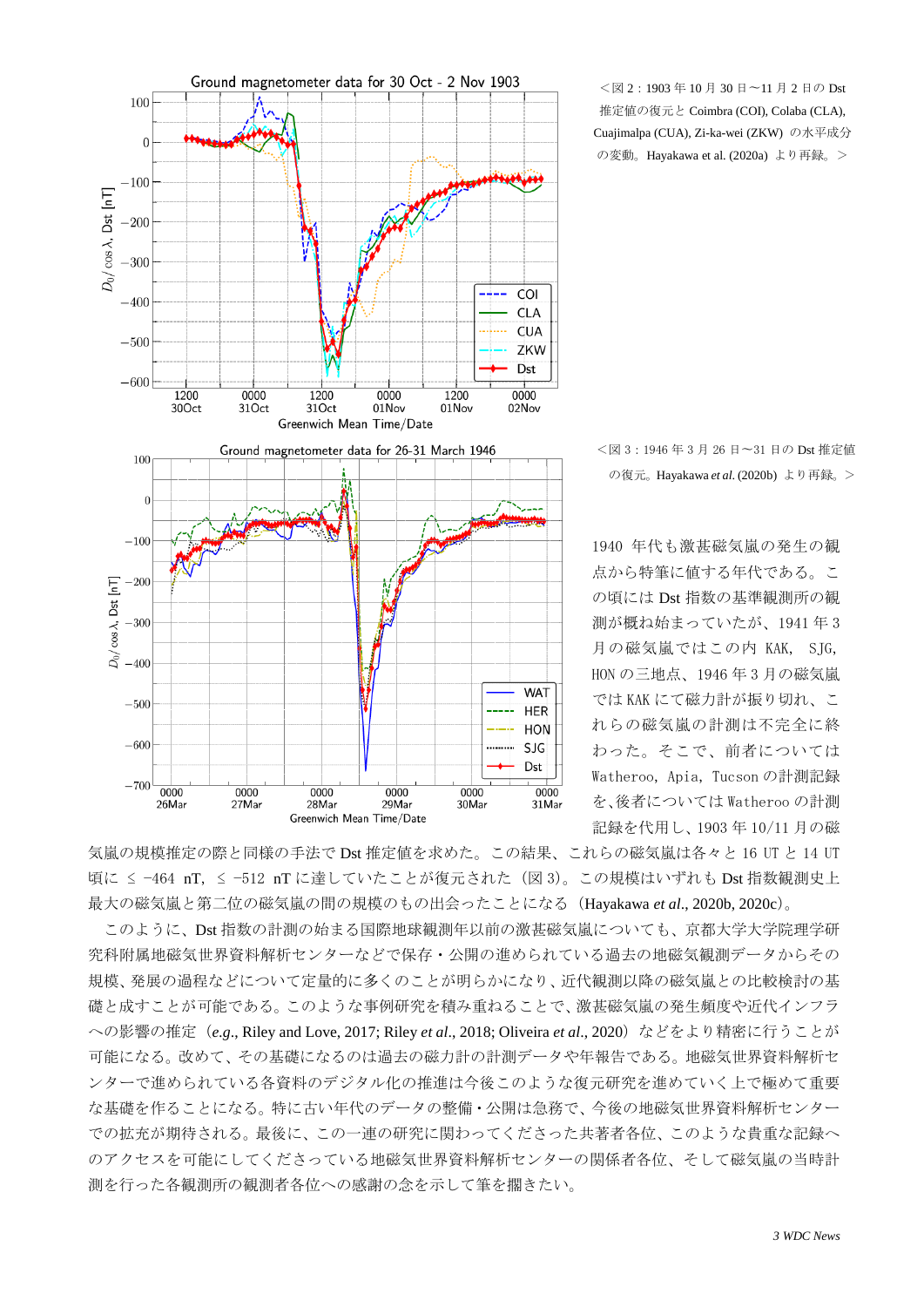

<図 2:1903 年 10 月 30 日〜11 月 2 日の Dst 推定値の復元と Coimbra (COI), Colaba (CLA), Cuajimalpa (CUA), Zi-ka-wei (ZKW) の水平成分 の変動。Hayakawa et al. (2020a) より再録。>

<図 3:1946 年 3 月 26 日〜31 日の Dst 推定値 の復元。Hayakawa *et al*. (2020b) より再録。>

1940 年代も激甚磁気嵐の発生の観 点から特筆に値する年代である。こ の頃には Dst 指数の基準観測所の観 測が概ね始まっていたが、1941 年 3 月の磁気嵐ではこの内 KAK, SJG, HON の三地点、1946 年 3 月の磁気嵐 では KAK にて磁力計が振り切れ、こ れらの磁気嵐の計測は不完全に終 わった。そこで、前者については Watheroo, Apia, Tucson の計測記録 を、後者については Watheroo の計測 記録を代用し、1903 年 10/11 月の磁

気嵐の規模推定の際と同様の手法で Dst 推定値を求めた。この結果、これらの磁気嵐は各々と 16 UT と 14 UT 頃に ≤ −464 nT, ≤ −512 nT に達していたことが復元された(図 3)。この規模はいずれも Dst 指数観測史上 最大の磁気嵐と第二位の磁気嵐の間の規模のもの出会ったことになる(Hayakawa *et al*., 2020b, 2020c)。

このように、Dst 指数の計測の始まる国際地球観測年以前の激甚磁気嵐についても、京都大学大学院理学研 究科附属地磁気世界資料解析センターなどで保存・公開の進められている過去の地磁気観測データからその 規模、発展の過程などについて定量的に多くのことが明らかになり、近代観測以降の磁気嵐との比較検討の基 礎と成すことが可能である。このような事例研究を積み重ねることで、激甚磁気嵐の発生頻度や近代インフラ への影響の推定 (e.g., Riley and Love, 2017; Riley et al., 2018; Oliveira et al., 2020)などをより精密に行うことが 可能になる。改めて、その基礎になるのは過去の磁力計の計測データや年報告である。地磁気世界資料解析セ ンターで進められている各資料のデジタル化の推進は今後このような復元研究を進めていく上で極めて重要 な基礎を作ることになる。特に古い年代のデータの整備・公開は急務で、今後の地磁気世界資料解析センター での拡充が期待される。最後に、この一連の研究に関わってくださった共著者各位、このような貴重な記録へ のアクセスを可能にしてくださっている地磁気世界資料解析センターの関係者各位、そして磁気嵐の当時計 測を行った各観測所の観測者各位への感謝の念を示して筆を擱きたい。